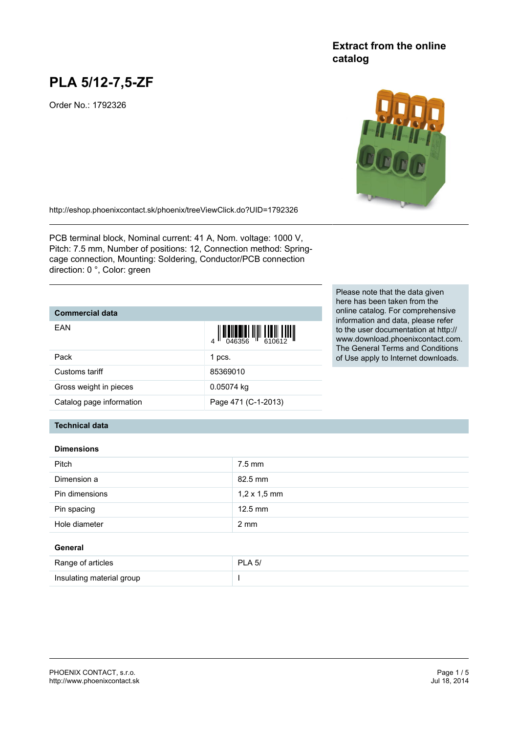# **PLA 5/12-7,5-ZF**

Order No.: 1792326

#### <http://eshop.phoenixcontact.sk/phoenix/treeViewClick.do?UID=1792326>

PCB terminal block, Nominal current: 41 A, Nom. voltage: 1000 V, Pitch: 7.5 mm, Number of positions: 12, Connection method: Springcage connection, Mounting: Soldering, Conductor/PCB connection direction: 0 °, Color: green

## **Commercial data**

| FAN                      | $\left\  \prod_{0.46356} \right\  \left\  \prod_{610612} \right\  \left\  \prod_{100612} \right\ $ |
|--------------------------|----------------------------------------------------------------------------------------------------|
| Pack                     | 1 pcs.                                                                                             |
| Customs tariff           | 85369010                                                                                           |
| Gross weight in pieces   | 0.05074 kg                                                                                         |
| Catalog page information | Page 471 (C-1-2013)                                                                                |

Please note that the data given here has been taken from the online catalog. For comprehensive information and data, please refer to the user documentation at http:// www.download.phoenixcontact.com. The General Terms and Conditions of Use apply to Internet downloads.

# **Technical data**

#### **Dimensions**

| <b>Pitch</b>   | 7.5 mm              |
|----------------|---------------------|
| Dimension a    | 82.5 mm             |
| Pin dimensions | $1,2 \times 1,5$ mm |
| Pin spacing    | $12.5$ mm           |
| Hole diameter  | $2 \text{ mm}$      |

#### **General**

| Range of articles         | <b>PLA 5/</b> |
|---------------------------|---------------|
| Insulating material group |               |

# **Extract from the online catalog**

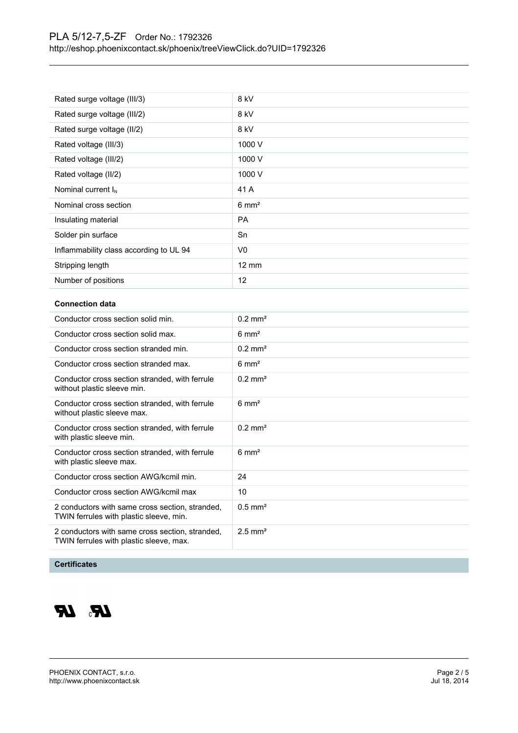| Rated surge voltage (III/3)             | 8 kV             |
|-----------------------------------------|------------------|
| Rated surge voltage (III/2)             | 8 kV             |
| Rated surge voltage (II/2)              | 8 kV             |
| Rated voltage (III/3)                   | 1000 V           |
| Rated voltage (III/2)                   | 1000 V           |
| Rated voltage (II/2)                    | 1000 V           |
| Nominal current $I_N$                   | 41 A             |
| Nominal cross section                   | $6 \text{ mm}^2$ |
| Insulating material                     | <b>PA</b>        |
| Solder pin surface                      | Sn               |
| Inflammability class according to UL 94 | V0               |
| Stripping length                        | $12 \text{ mm}$  |
| Number of positions                     | 12               |

#### **Connection data**

| Conductor cross section solid min.                                                         | $0.2 \text{ mm}^2$    |
|--------------------------------------------------------------------------------------------|-----------------------|
| Conductor cross section solid max.                                                         | $6 \text{ mm}^2$      |
| Conductor cross section stranded min.                                                      | $0.2 \text{ mm}^2$    |
| Conductor cross section stranded max.                                                      | $6 \text{ mm}^2$      |
| Conductor cross section stranded, with ferrule<br>without plastic sleeve min.              | $0.2$ mm <sup>2</sup> |
| Conductor cross section stranded, with ferrule<br>without plastic sleeve max.              | $6 \text{ mm}^2$      |
| Conductor cross section stranded, with ferrule<br>with plastic sleeve min.                 | $0.2 \text{ mm}^2$    |
| Conductor cross section stranded, with ferrule<br>with plastic sleeve max.                 | $6 \text{ mm}^2$      |
| Conductor cross section AWG/kcmil min.                                                     | 24                    |
| Conductor cross section AWG/kcmil max                                                      | 10                    |
| 2 conductors with same cross section, stranded,<br>TWIN ferrules with plastic sleeve, min. | $0.5$ mm <sup>2</sup> |
| 2 conductors with same cross section, stranded,<br>TWIN ferrules with plastic sleeve, max. | $2.5$ mm <sup>2</sup> |

#### **Certificates**

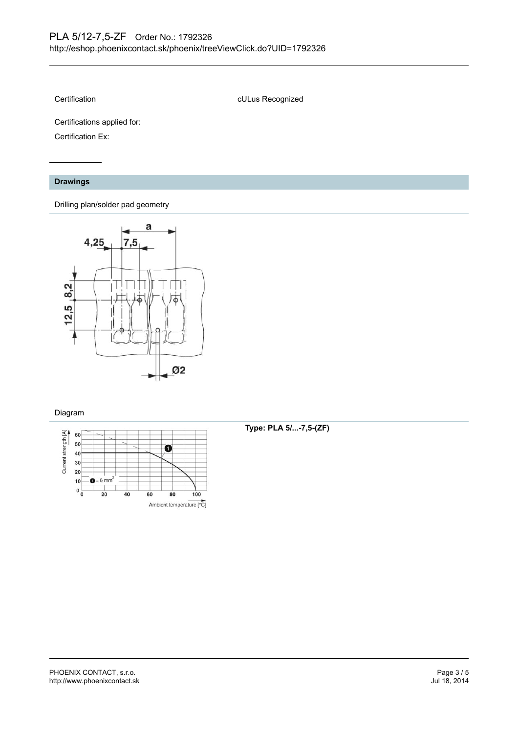Certification **culture CERTIFICATE** culture Recognized

Certifications applied for:

Certification Ex:

#### **Drawings**

Drilling plan/solder pad geometry



#### Diagram



**Type: PLA 5/...-7,5-(ZF)**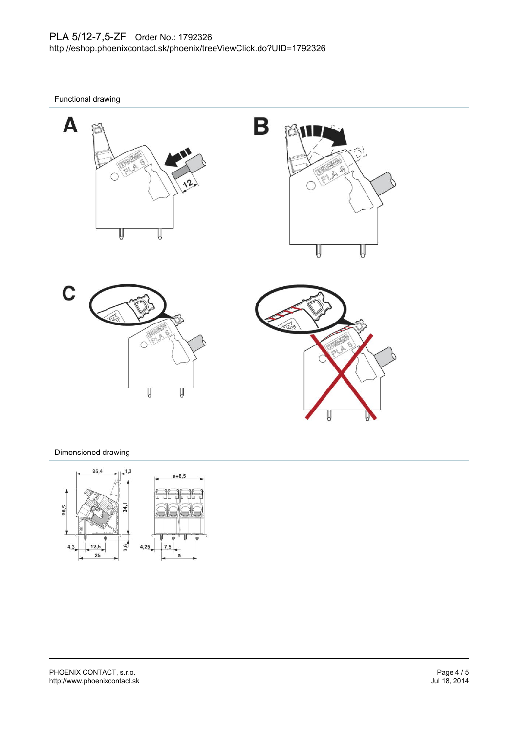Functional drawing









### Dimensioned drawing